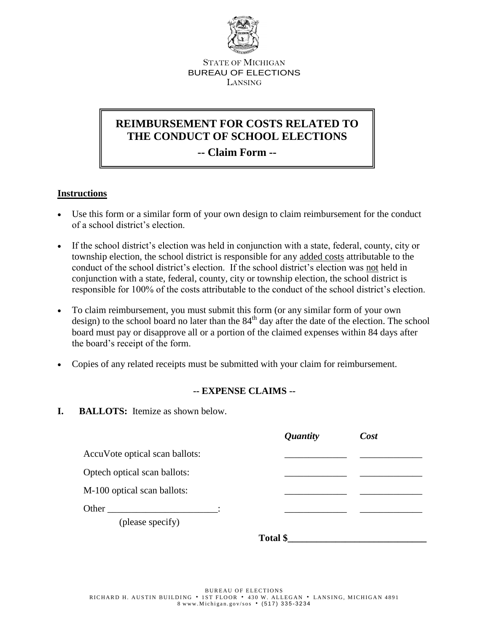

STATE OF MICHIGAN BUREAU OF ELECTIONS LANSING

# **REIMBURSEMENT FOR COSTS RELATED TO THE CONDUCT OF SCHOOL ELECTIONS**

**-- Claim Form --**

## **Instructions**

- Use this form or a similar form of your own design to claim reimbursement for the conduct of a school district's election.
- If the school district's election was held in conjunction with a state, federal, county, city or township election, the school district is responsible for any added costs attributable to the conduct of the school district's election. If the school district's election was not held in conjunction with a state, federal, county, city or township election, the school district is responsible for 100% of the costs attributable to the conduct of the school district's election.
- To claim reimbursement, you must submit this form (or any similar form of your own design) to the school board no later than the  $84<sup>th</sup>$  day after the date of the election. The school board must pay or disapprove all or a portion of the claimed expenses within 84 days after the board's receipt of the form.
- Copies of any related receipts must be submitted with your claim for reimbursement.

#### **-- EXPENSE CLAIMS --**

**I. BALLOTS:** Itemize as shown below.

|                                | <i><b>Quantity</b></i> | Cost |
|--------------------------------|------------------------|------|
| AccuVote optical scan ballots: |                        |      |
| Optech optical scan ballots:   |                        |      |
| M-100 optical scan ballots:    |                        |      |
| Other                          |                        |      |
| (please specify)               |                        |      |

**Total \$\_\_\_\_\_\_\_\_\_\_\_\_\_\_\_\_\_\_\_\_\_\_\_\_\_\_\_\_\_**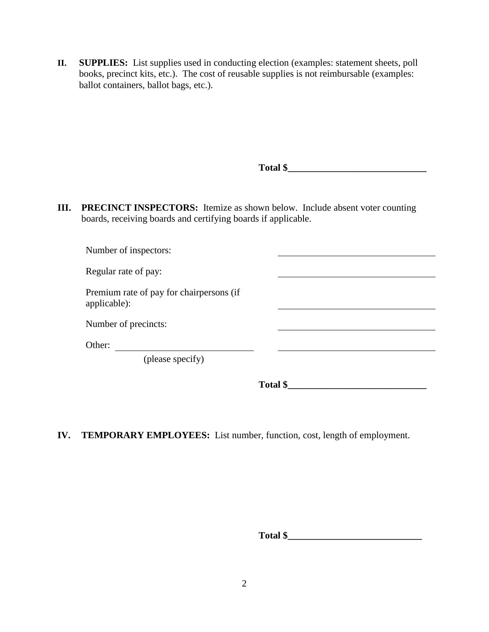**II. SUPPLIES:** List supplies used in conducting election (examples: statement sheets, poll books, precinct kits, etc.). The cost of reusable supplies is not reimbursable (examples: ballot containers, ballot bags, etc.).

|      |                                                                                                                                             | Total \$ |  |
|------|---------------------------------------------------------------------------------------------------------------------------------------------|----------|--|
| III. | PRECINCT INSPECTORS: Itemize as shown below. Include absent voter counting<br>boards, receiving boards and certifying boards if applicable. |          |  |
|      | Number of inspectors:                                                                                                                       |          |  |
|      | Regular rate of pay:                                                                                                                        |          |  |
|      | Premium rate of pay for chairpersons (if<br>applicable):                                                                                    |          |  |
|      | Number of precincts:                                                                                                                        |          |  |
|      | Other:                                                                                                                                      |          |  |
|      | (please specify)                                                                                                                            |          |  |
|      |                                                                                                                                             | Total \$ |  |

## **IV. TEMPORARY EMPLOYEES:** List number, function, cost, length of employment.

**Total \$\_\_\_\_\_\_\_\_\_\_\_\_\_\_\_\_\_\_\_\_\_\_\_\_\_\_\_\_**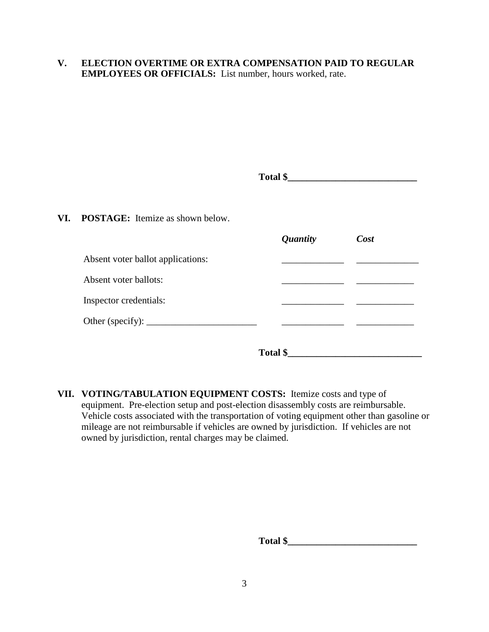### **V. ELECTION OVERTIME OR EXTRA COMPENSATION PAID TO REGULAR EMPLOYEES OR OFFICIALS:** List number, hours worked, rate.

| Total \$                                                      |                 |      |
|---------------------------------------------------------------|-----------------|------|
| VI. POSTAGE: Itemize as shown below.                          |                 |      |
|                                                               | <i>Quantity</i> | Cost |
| Absent voter ballot applications:                             |                 |      |
| Absent voter ballots:                                         |                 |      |
| Inspector credentials:                                        |                 |      |
| Other (specify): $\_\_\_\_\_\_\_\_\_\_\_\_\_\_\_\_\_\_\_\_\_$ |                 |      |
|                                                               | Total \$        |      |

**VII. VOTING/TABULATION EQUIPMENT COSTS:** Itemize costs and type of equipment. Pre-election setup and post-election disassembly costs are reimbursable. Vehicle costs associated with the transportation of voting equipment other than gasoline or mileage are not reimbursable if vehicles are owned by jurisdiction. If vehicles are not owned by jurisdiction, rental charges may be claimed.

**Total \$\_\_\_\_\_\_\_\_\_\_\_\_\_\_\_\_\_\_\_\_\_\_\_\_\_\_\_\_\_\_\_\_\_**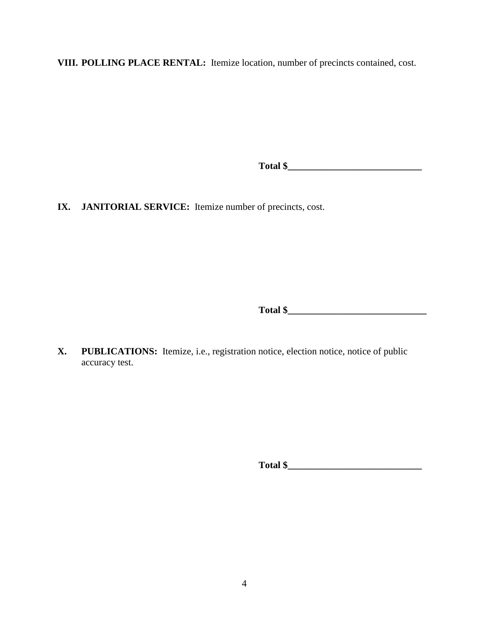**VIII. POLLING PLACE RENTAL:** Itemize location, number of precincts contained, cost.

**Total \$\_\_\_\_\_\_\_\_\_\_\_\_\_\_\_\_\_\_\_\_\_\_\_\_\_\_\_\_** 

**IX. JANITORIAL SERVICE:** Itemize number of precincts, cost.

**Total \$\_\_\_\_\_\_\_\_\_\_\_\_\_\_\_\_\_\_\_\_\_\_\_\_\_\_\_\_\_** 

**X. PUBLICATIONS:** Itemize, i.e., registration notice, election notice, notice of public accuracy test.

**Total \$\_\_\_\_\_\_\_\_\_\_\_\_\_\_\_\_\_\_\_\_\_\_\_\_\_\_\_\_**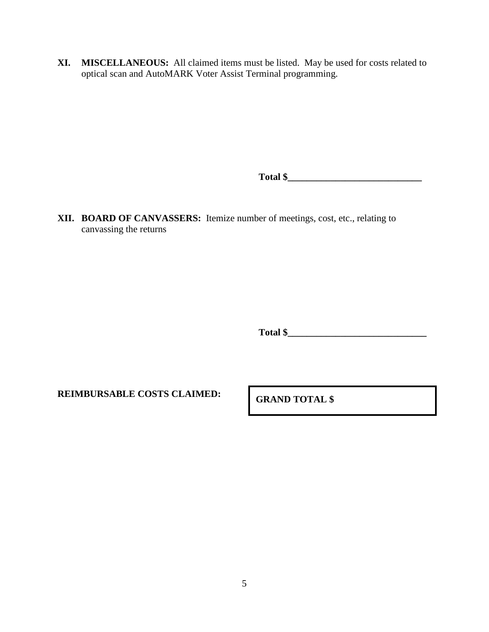**XI. MISCELLANEOUS:** All claimed items must be listed. May be used for costs related to optical scan and AutoMARK Voter Assist Terminal programming.

**Total \$\_\_\_\_\_\_\_\_\_\_\_\_\_\_\_\_\_\_\_\_\_\_\_\_\_\_\_\_** 

**XII. BOARD OF CANVASSERS:** Itemize number of meetings, cost, etc., relating to canvassing the returns

**Total \$\_\_\_\_\_\_\_\_\_\_\_\_\_\_\_\_\_\_\_\_\_\_\_\_\_\_\_\_\_**

**REIMBURSABLE COSTS CLAIMED: GRAND TOTAL \$**